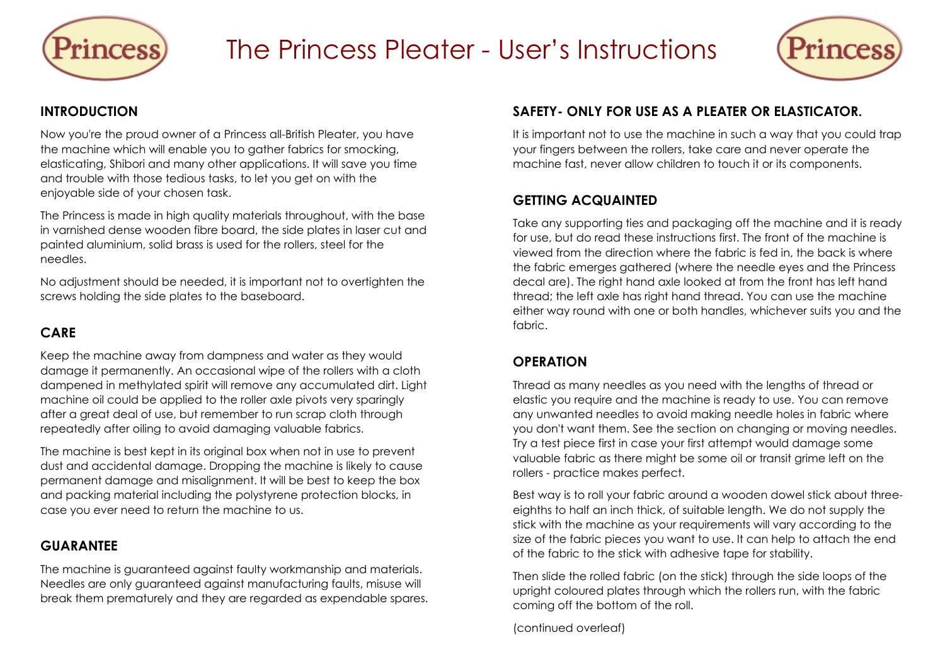



#### **INTRODUCTION**

Now you're the proud owner of a Princess all-British Pleater, you have the machine which will enable you to gather fabrics for smocking, elasticating, Shibori and many other applications. It will save you time and trouble with those tedious tasks, to let you get on with the enjoyable side of your chosen task.

The Princess is made in high quality materials throughout, with the base in varnished dense wooden fibre board, the side plates in laser cut and painted aluminium, solid brass is used for the rollers, steel for the needles.

No adjustment should be needed, it is important not to overtighten the screws holding the side plates to the baseboard.

#### **CARE**

Keep the machine away from dampness and water as they would damage it permanently. An occasional wipe of the rollers with a cloth dampened in methylated spirit will remove any accumulated dirt. Light machine oil could be applied to the roller axle pivots very sparingly after a great deal of use, but remember to run scrap cloth through repeatedly after oiling to avoid damaging valuable fabrics.

The machine is best kept in its original box when not in use to prevent dust and accidental damage. Dropping the machine is likely to cause permanent damage and misalignment. It will be best to keep the box and packing material including the polystyrene protection blocks, in case you ever need to return the machine to us.

#### **GUARANTEE**

The machine is guaranteed against faulty workmanship and materials. Needles are only guaranteed against manufacturing faults, misuse will break them prematurely and they are regarded as expendable spares.

#### **SAFETY- ONLY FOR USE AS A PLEATER OR ELASTICATOR.**

It is important not to use the machine in such a way that you could trap your fingers between the rollers, take care and never operate the machine fast, never allow children to touch it or its components.

# **GETTING ACQUAINTED**

Take any supporting ties and packaging off the machine and it is ready for use, but do read these instructions first. The front of the machine is viewed from the direction where the fabric is fed in, the back is where the fabric emerges gathered (where the needle eyes and the Princess decal are). The right hand axle looked at from the front has left hand thread; the left axle has right hand thread. You can use the machine either way round with one or both handles, whichever suits you and the fabric.

#### **OPERATION**

Thread as many needles as you need with the lengths of thread or elastic you require and the machine is ready to use. You can remove any unwanted needles to avoid making needle holes in fabric where you don't want them. See the section on changing or moving needles. Try a test piece first in case your first attempt would damage some valuable fabric as there might be some oil or transit grime left on the rollers - practice makes perfect.

Best way is to roll your fabric around a wooden dowel stick about threeeighths to half an inch thick, of suitable length. We do not supply the stick with the machine as your requirements will vary according to the size of the fabric pieces you want to use. It can help to attach the end of the fabric to the stick with adhesive tape for stability.

Then slide the rolled fabric (on the stick) through the side loops of the upright coloured plates through which the rollers run, with the fabric coming off the bottom of the roll.

(continued overleaf)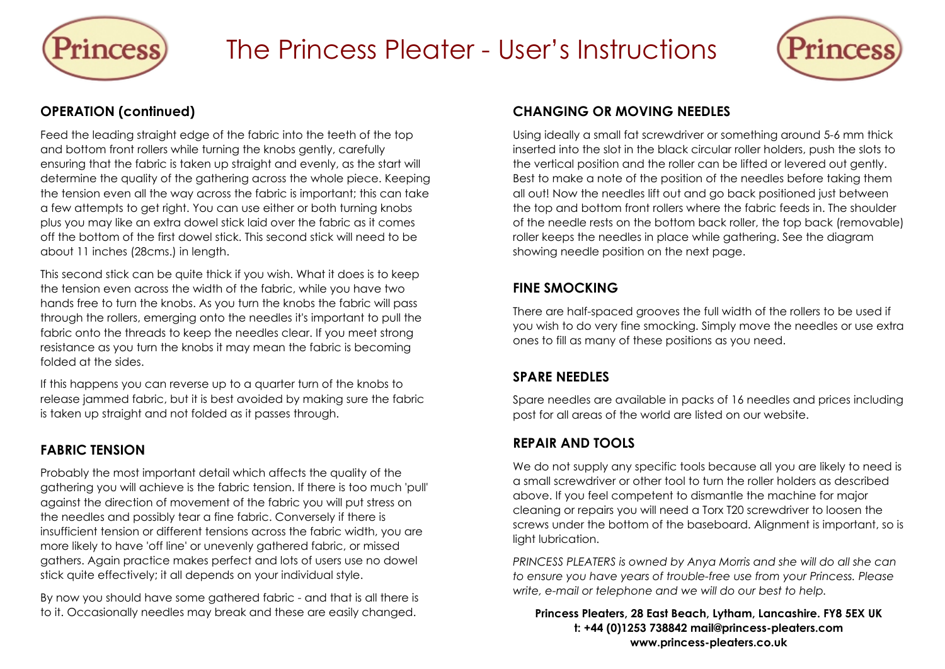

# The Princess Pleater - User's Instructions



#### **OPERATION (continued)**

Feed the leading straight edge of the fabric into the teeth of the top and bottom front rollers while turning the knobs gently, carefully ensuring that the fabric is taken up straight and evenly, as the start will determine the quality of the gathering across the whole piece. Keeping the tension even all the way across the fabric is important; this can take a few attempts to get right. You can use either or both turning knobs plus you may like an extra dowel stick laid over the fabric as it comes off the bottom of the first dowel stick. This second stick will need to be about 11 inches (28cms.) in length.

This second stick can be quite thick if you wish. What it does is to keep the tension even across the width of the fabric, while you have two hands free to turn the knobs. As you turn the knobs the fabric will pass through the rollers, emerging onto the needles it's important to pull the fabric onto the threads to keep the needles clear. If you meet strong resistance as you turn the knobs it may mean the fabric is becoming folded at the sides.

If this happens you can reverse up to a quarter turn of the knobs to release jammed fabric, but it is best avoided by making sure the fabric is taken up straight and not folded as it passes through.

# **FABRIC TENSION**

Probably the most important detail which affects the quality of the gathering you will achieve is the fabric tension. If there is too much 'pull' against the direction of movement of the fabric you will put stress on the needles and possibly tear a fine fabric. Conversely if there is insufficient tension or different tensions across the fabric width, you are more likely to have 'off line' or unevenly gathered fabric, or missed gathers. Again practice makes perfect and lots of users use no dowel stick quite effectively; it all depends on your individual style.

By now you should have some gathered fabric - and that is all there is to it. Occasionally needles may break and these are easily changed.

#### **CHANGING OR MOVING NEEDLES**

Using ideally a small fat screwdriver or something around 5-6 mm thick inserted into the slot in the black circular roller holders, push the slots to the vertical position and the roller can be lifted or levered out gently. Best to make a note of the position of the needles before taking them all out! Now the needles lift out and go back positioned just between the top and bottom front rollers where the fabric feeds in. The shoulder of the needle rests on the bottom back roller, the top back (removable) roller keeps the needles in place while gathering. See the diagram showing needle position on the next page.

### **FINE SMOCKING**

There are half-spaced grooves the full width of the rollers to be used if you wish to do very fine smocking. Simply move the needles or use extra ones to fill as many of these positions as you need.

#### **SPARE NEEDLES**

Spare needles are available in packs of 16 needles and prices including post for all areas of the world are listed on our website.

# **REPAIR AND TOOLS**

We do not supply any specific tools because all you are likely to need is a small screwdriver or other tool to turn the roller holders as described above. If you feel competent to dismantle the machine for major cleaning or repairs you will need a Torx T20 screwdriver to loosen the screws under the bottom of the baseboard. Alignment is important, so is light lubrication.

*PRINCESS PLEATERS is owned by Anya Morris and she will do all she can to ensure you have years of trouble-free use from your Princess. Please write, e-mail or telephone and we will do our best to help.*

**Princess Pleaters, 28 East Beach, Lytham, Lancashire. FY8 5EX UK t: +44 (0)1253 738842 mail@princess-pleaters.com www.princess-pleaters.co.uk**